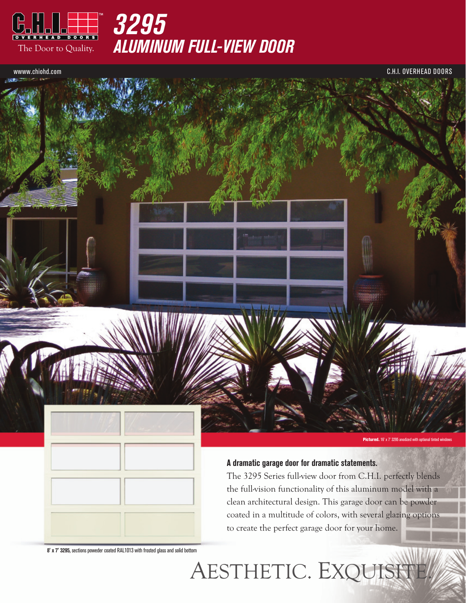

*Aluminum Full-View Door*

wwww.chiohd.com C.H.I. Overhead Doors



#### **A dramatic garage door for dramatic statements.**

AESTHETIC. EXQUIS

The 3295 Series full-view door from C.H.I. perfectly blends the full-vision functionality of this aluminum model with a clean architectural design. This garage door can be powder coated in a multitude of colors, with several glazing options to create the perfect garage door for your home.

**8' x 7' 3295,** sections poweder coated RAL1013 with frosted glass and solid bottom